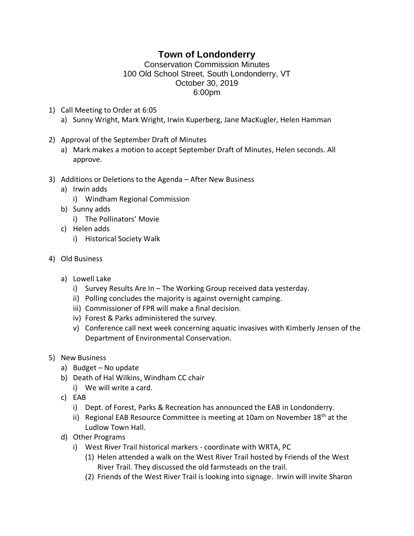## **Town of Londonderry**

## Conservation Commission Minutes 100 Old School Street, South Londonderry, VT October 30, 2019 6:00pm

- 1) Call Meeting to Order at 6:05 a) Sunny Wright, Mark Wright, Irwin Kuperberg, Jane MacKugler, Helen Hamman
- 2) Approval of the September Draft of Minutes
	- a) Mark makes a motion to accept September Draft of Minutes, Helen seconds. All approve.
- 3) Additions or Deletions to the Agenda After New Business
	- a) Irwin adds
		- i) Windham Regional Commission
	- b) Sunny adds
		- i) The Pollinators' Movie
	- c) Helen adds
		- i) Historical Society Walk
- 4) Old Business
	- a) Lowell Lake
		- i) Survey Results Are In The Working Group received data yesterday.
		- ii) Polling concludes the majority is against overnight camping.
		- iii) Commissioner of FPR will make a final decision.
		- iv) Forest & Parks administered the survey.
		- v) Conference call next week concerning aquatic invasives with Kimberly Jensen of the Department of Environmental Conservation.
- 5) New Business
	- a) Budget No update
	- b) Death of Hal Wilkins, Windham CC chair
		- i) We will write a card.
	- c) EAB
		- i) Dept. of Forest, Parks & Recreation has announced the EAB in Londonderry.
		- ii) Regional EAB Resource Committee is meeting at 10am on November  $18<sup>th</sup>$  at the Ludlow Town Hall.
	- d) Other Programs
		- i) West River Trail historical markers coordinate with WRTA, PC
			- (1) Helen attended a walk on the West River Trail hosted by Friends of the West River Trail. They discussed the old farmsteads on the trail.
			- (2) Friends of the West River Trail is looking into signage. Irwin will invite Sharon